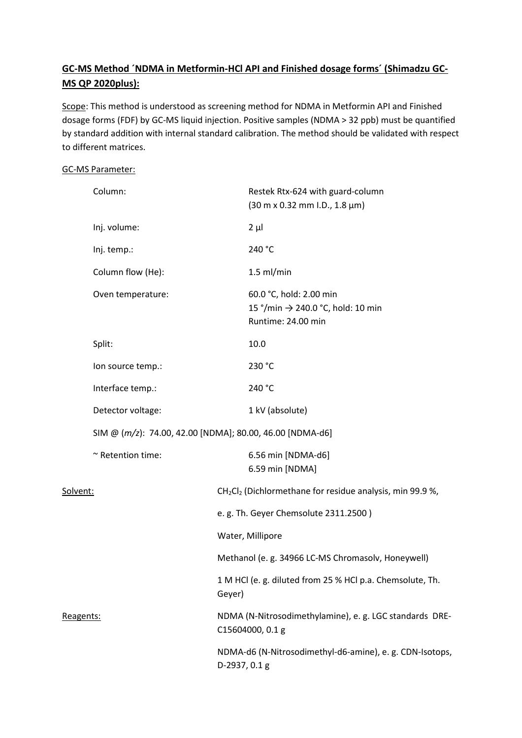# **GC-MS Method ´NDMA in Metformin-HCl API and Finished dosage forms´ (Shimadzu GC-MS QP 2020plus):**

Scope: This method is understood as screening method for NDMA in Metformin API and Finished dosage forms (FDF) by GC-MS liquid injection. Positive samples (NDMA > 32 ppb) must be quantified by standard addition with internal standard calibration. The method should be validated with respect to different matrices.

### GC-MS Parameter:

|           | Column:           |                                                                             | Restek Rtx-624 with guard-column<br>$(30 \text{ m} \times 0.32 \text{ mm} \cdot 1.0., 1.8 \text{ }\mu\text{m})$ |  |  |  |
|-----------|-------------------|-----------------------------------------------------------------------------|-----------------------------------------------------------------------------------------------------------------|--|--|--|
|           | Inj. volume:      |                                                                             | $2 \mu$                                                                                                         |  |  |  |
|           | Inj. temp.:       |                                                                             | 240 °C                                                                                                          |  |  |  |
|           | Column flow (He): |                                                                             | $1.5$ ml/min                                                                                                    |  |  |  |
|           | Oven temperature: |                                                                             | 60.0 °C, hold: 2.00 min<br>15 °/min → 240.0 °C, hold: 10 min<br>Runtime: 24.00 min                              |  |  |  |
|           | Split:            |                                                                             | 10.0                                                                                                            |  |  |  |
|           | lon source temp.: |                                                                             | 230 °C                                                                                                          |  |  |  |
|           | Interface temp.:  |                                                                             | 240 °C                                                                                                          |  |  |  |
|           | Detector voltage: |                                                                             | 1 kV (absolute)                                                                                                 |  |  |  |
|           |                   | SIM @ (m/z): 74.00, 42.00 [NDMA]; 80.00, 46.00 [NDMA-d6]                    |                                                                                                                 |  |  |  |
|           | ~ Retention time: |                                                                             | 6.56 min [NDMA-d6]<br>6.59 min [NDMA]                                                                           |  |  |  |
| Solvent:  |                   |                                                                             | CH <sub>2</sub> Cl <sub>2</sub> (Dichlormethane for residue analysis, min 99.9 %,                               |  |  |  |
|           |                   |                                                                             | e.g. Th. Geyer Chemsolute 2311.2500)                                                                            |  |  |  |
|           |                   | Water, Millipore                                                            |                                                                                                                 |  |  |  |
|           |                   |                                                                             | Methanol (e. g. 34966 LC-MS Chromasolv, Honeywell)                                                              |  |  |  |
|           |                   | Geyer)                                                                      | 1 M HCl (e. g. diluted from 25 % HCl p.a. Chemsolute, Th.                                                       |  |  |  |
| Reagents: |                   | NDMA (N-Nitrosodimethylamine), e. g. LGC standards DRE-<br>C15604000, 0.1 g |                                                                                                                 |  |  |  |
|           |                   |                                                                             | NDMA-d6 (N-Nitrosodimethyl-d6-amine), e. g. CDN-Isotops,<br>D-2937, 0.1 g                                       |  |  |  |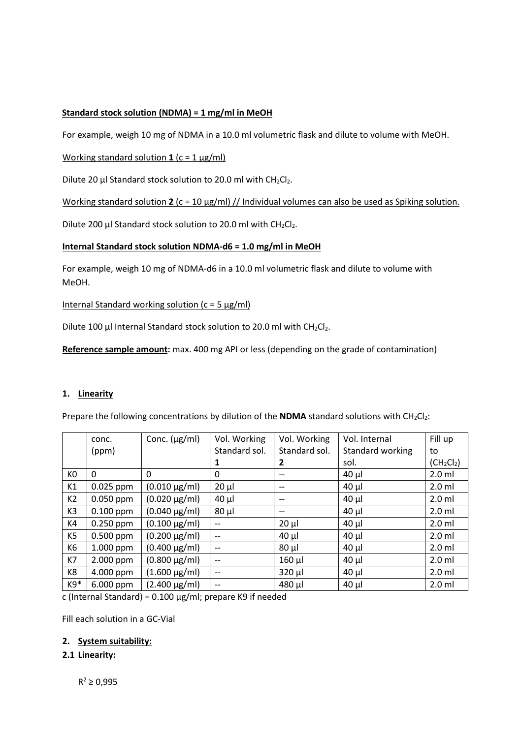# **Standard stock solution (NDMA) = 1 mg/ml in MeOH**

For example, weigh 10 mg of NDMA in a 10.0 ml volumetric flask and dilute to volume with MeOH.

### Working standard solution 1 (c = 1 µg/ml)

Dilute 20  $\mu$ I Standard stock solution to 20.0 ml with CH<sub>2</sub>Cl<sub>2</sub>.

Working standard solution **2** (c = 10 µg/ml) // Individual volumes can also be used as Spiking solution.

Dilute 200  $\mu$ I Standard stock solution to 20.0 ml with CH<sub>2</sub>Cl<sub>2</sub>.

### **Internal Standard stock solution NDMA-d6 = 1.0 mg/ml in MeOH**

For example, weigh 10 mg of NDMA-d6 in a 10.0 ml volumetric flask and dilute to volume with MeOH.

Internal Standard working solution  $(c = 5 \mu g/ml)$ 

Dilute 100 µl Internal Standard stock solution to 20.0 ml with  $CH_2Cl_2$ .

**Reference sample amount:** max. 400 mg API or less (depending on the grade of contamination)

### **1. Linearity**

Prepare the following concentrations by dilution of the **NDMA** standard solutions with CH<sub>2</sub>Cl<sub>2</sub>:

|                | conc.       | Conc. $(\mu g/ml)$   | Vol. Working             | Vol. Working      | Vol. Internal    | Fill up                            |
|----------------|-------------|----------------------|--------------------------|-------------------|------------------|------------------------------------|
|                | (ppm)       |                      | Standard sol.            | Standard sol.     | Standard working | to                                 |
|                |             |                      |                          | 2                 | sol.             | (CH <sub>2</sub> Cl <sub>2</sub> ) |
| KO             | 0           | 0                    | 0                        | --                | $40 \mu$         | $2.0$ ml                           |
| K1             | $0.025$ ppm | $(0.010 \,\mu g/ml)$ | $20 \mu$                 | --                | $40 \mu$         | $2.0$ ml                           |
| K <sub>2</sub> | $0.050$ ppm | $(0.020 \,\mu g/ml)$ | $40 \mu$                 | $\qquad \qquad -$ | $40 \mu$         | $2.0$ ml                           |
| K <sub>3</sub> | $0.100$ ppm | $(0.040 \,\mu g/ml)$ | $80 \mu$                 | $\qquad \qquad -$ | $40 \mu$         | $2.0$ ml                           |
| K4             | $0.250$ ppm | $(0.100 \,\mu g/ml)$ | $\overline{\phantom{m}}$ | $20 \mu$          | $40 \mu$         | $2.0$ ml                           |
| K <sub>5</sub> | $0.500$ ppm | $(0.200 \mu g/ml)$   | $\qquad \qquad -$        | $40 \mu$          | $40 \mu$         | $2.0$ ml                           |
| K <sub>6</sub> | 1.000 ppm   | $(0.400 \,\mu g/ml)$ | $\qquad \qquad -$        | $80 \mu$          | $40 \mu$         | $2.0$ ml                           |
| K7             | 2.000 ppm   | $(0.800 \,\mu g/ml)$ | $-$                      | $160$ µl          | $40 \mu$         | $2.0$ ml                           |
| K8             | 4.000 ppm   | $(1.600 \,\mu g/ml)$ | $\qquad \qquad -$        | $320 \mu$         | $40 \mu$         | $2.0$ ml                           |
| K9*            | 6.000 ppm   | $(2.400 \,\mu g/ml)$ | $\overline{\phantom{a}}$ | 480 µl            | $40 \mu$         | $2.0$ ml                           |

c (Internal Standard) =  $0.100 \mu g/ml$ ; prepare K9 if needed

Fill each solution in a GC-Vial

### **2. System suitability:**

### **2.1 Linearity:**

 $R^2 \ge 0,995$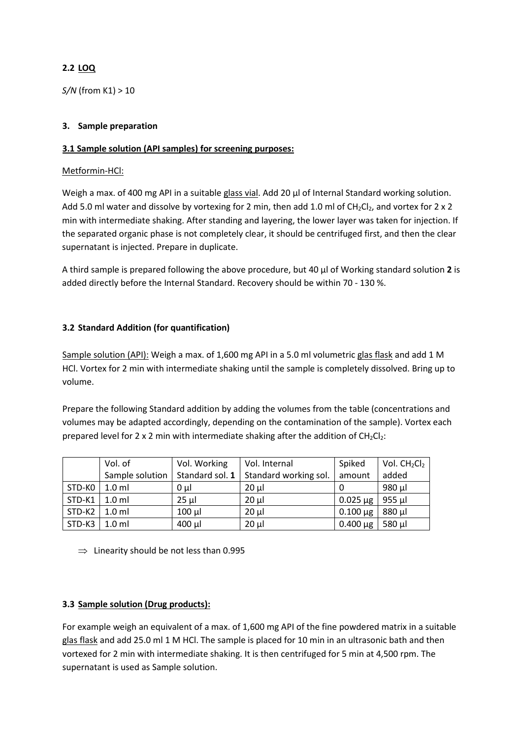# **2.2 LOQ**

*S/N* (from K1) > 10

### **3. Sample preparation**

# **3.1 Sample solution (API samples) for screening purposes:**

### Metformin-HCl:

Weigh a max. of 400 mg API in a suitable glass vial. Add 20  $\mu$ l of Internal Standard working solution. Add 5.0 ml water and dissolve by vortexing for 2 min, then add 1.0 ml of CH<sub>2</sub>Cl<sub>2</sub>, and vortex for 2 x 2 min with intermediate shaking. After standing and layering, the lower layer was taken for injection. If the separated organic phase is not completely clear, it should be centrifuged first, and then the clear supernatant is injected. Prepare in duplicate.

A third sample is prepared following the above procedure, but 40 µl of Working standard solution **2** is added directly before the Internal Standard. Recovery should be within 70 - 130 %.

# **3.2 Standard Addition (for quantification)**

Sample solution (API): Weigh a max. of 1,600 mg API in a 5.0 ml volumetric glas flask and add 1 M HCl. Vortex for 2 min with intermediate shaking until the sample is completely dissolved. Bring up to volume.

Prepare the following Standard addition by adding the volumes from the table (concentrations and volumes may be adapted accordingly, depending on the contamination of the sample). Vortex each prepared level for 2 x 2 min with intermediate shaking after the addition of  $CH_2Cl_2$ :

|        | Vol. of          | Vol. Working    | Vol. Internal         | Spiked        | Vol. $CH2Cl2$ |
|--------|------------------|-----------------|-----------------------|---------------|---------------|
|        | Sample solution  | Standard sol. 1 | Standard working sol. | amount        | added         |
| STD-KO | $1.0$ ml         | $0 \mu$         | $20 \mu$              |               | 980 µl        |
| STD-K1 | 1.0 <sub>m</sub> | $25 \mu$        | $20 \mu$              | $0.025 \mu g$ | $955$ µl      |
| STD-K2 | 1.0 <sub>m</sub> | $100 \mu$       | $20 \mu$              | $0.100 \mu g$ | 880 µl        |
| STD-K3 | 1.0 <sub>m</sub> | $400$ µl        | $20 \mu$              | $0.400 \mu g$ | 580 µl        |

 $\Rightarrow$  Linearity should be not less than 0.995

# **3.3 Sample solution (Drug products):**

For example weigh an equivalent of a max. of 1,600 mg API of the fine powdered matrix in a suitable glas flask and add 25.0 ml 1 M HCl. The sample is placed for 10 min in an ultrasonic bath and then vortexed for 2 min with intermediate shaking. It is then centrifuged for 5 min at 4,500 rpm. The supernatant is used as Sample solution.